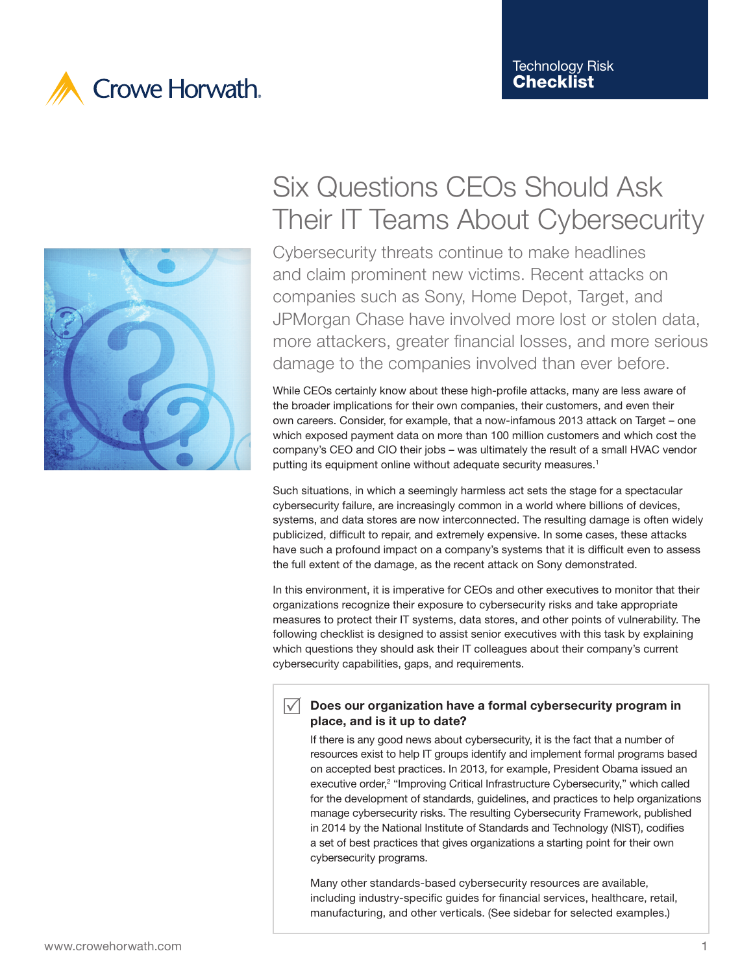



# Six Questions CEOs Should Ask Their IT Teams About Cybersecurity

Cybersecurity threats continue to make headlines and claim prominent new victims. Recent attacks on companies such as Sony, Home Depot, Target, and JPMorgan Chase have involved more lost or stolen data, more attackers, greater financial losses, and more serious damage to the companies involved than ever before.

While CEOs certainly know about these high-profile attacks, many are less aware of the broader implications for their own companies, their customers, and even their own careers. Consider, for example, that a now-infamous 2013 attack on Target – one which exposed payment data on more than 100 million customers and which cost the company's CEO and CIO their jobs – was ultimately the result of a small HVAC vendor putting its equipment online without adequate security measures.<sup>1</sup>

Such situations, in which a seemingly harmless act sets the stage for a spectacular cybersecurity failure, are increasingly common in a world where billions of devices, systems, and data stores are now interconnected. The resulting damage is often widely publicized, difficult to repair, and extremely expensive. In some cases, these attacks have such a profound impact on a company's systems that it is difficult even to assess the full extent of the damage, as the recent attack on Sony demonstrated.

In this environment, it is imperative for CEOs and other executives to monitor that their organizations recognize their exposure to cybersecurity risks and take appropriate measures to protect their IT systems, data stores, and other points of vulnerability. The following checklist is designed to assist senior executives with this task by explaining which questions they should ask their IT colleagues about their company's current cybersecurity capabilities, gaps, and requirements.

### $\sqrt{\phantom{a}}$  Does our organization have a formal cybersecurity program in place, and is it up to date?

If there is any good news about cybersecurity, it is the fact that a number of resources exist to help IT groups identify and implement formal programs based on accepted best practices. In 2013, for example, President Obama issued an executive order,<sup>2</sup> "Improving Critical Infrastructure Cybersecurity," which called for the development of standards, guidelines, and practices to help organizations manage cybersecurity risks. The resulting Cybersecurity Framework, published in 2014 by the National Institute of Standards and Technology (NIST), codifies a set of best practices that gives organizations a starting point for their own cybersecurity programs.

Many other standards-based cybersecurity resources are available, including industry-specific guides for financial services, healthcare, retail, manufacturing, and other verticals. (See sidebar for selected examples.)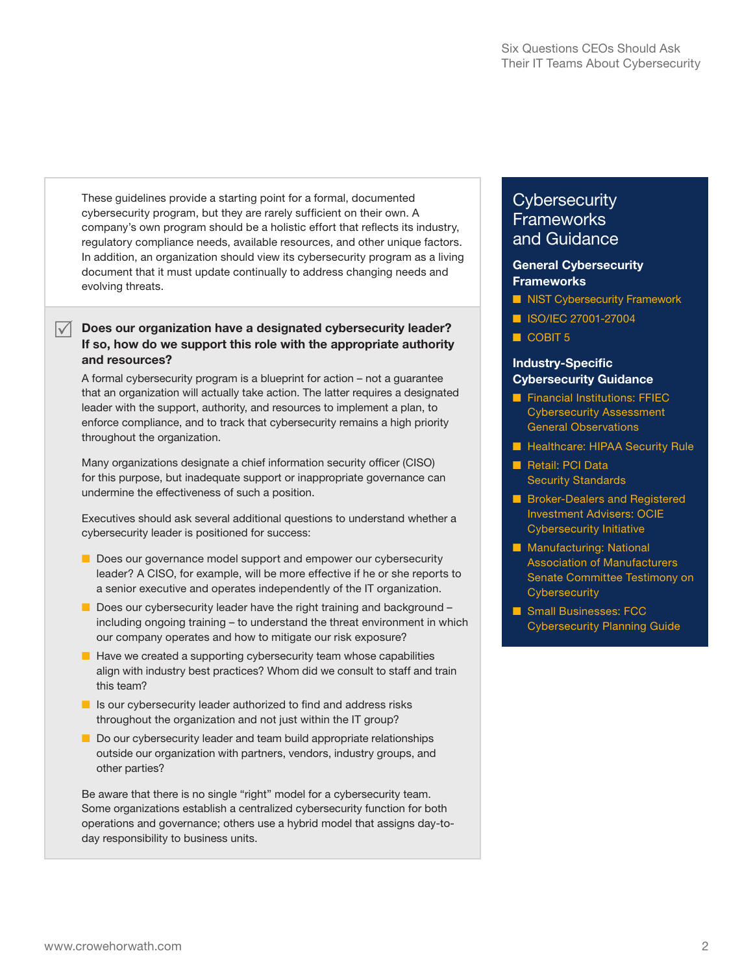These guidelines provide a starting point for a formal, documented cybersecurity program, but they are rarely sufficient on their own. A company's own program should be a holistic effort that reflects its industry, regulatory compliance needs, available resources, and other unique factors. In addition, an organization should view its cybersecurity program as a living document that it must update continually to address changing needs and evolving threats.

#### $\sqrt{\phantom{a}}$  Does our organization have a designated cybersecurity leader? If so, how do we support this role with the appropriate authority and resources?

A formal cybersecurity program is a blueprint for action – not a guarantee that an organization will actually take action. The latter requires a designated leader with the support, authority, and resources to implement a plan, to enforce compliance, and to track that cybersecurity remains a high priority throughout the organization.

Many organizations designate a chief information security officer (CISO) for this purpose, but inadequate support or inappropriate governance can undermine the effectiveness of such a position.

Executives should ask several additional questions to understand whether a cybersecurity leader is positioned for success:

- Does our governance model support and empower our cybersecurity leader? A CISO, for example, will be more effective if he or she reports to a senior executive and operates independently of the IT organization.
- Does our cybersecurity leader have the right training and background including ongoing training – to understand the threat environment in which our company operates and how to mitigate our risk exposure?
- Have we created a supporting cybersecurity team whose capabilities align with industry best practices? Whom did we consult to staff and train this team?
- Is our cybersecurity leader authorized to find and address risks throughout the organization and not just within the IT group?
- Do our cybersecurity leader and team build appropriate relationships outside our organization with partners, vendors, industry groups, and other parties?

Be aware that there is no single "right" model for a cybersecurity team. Some organizations establish a centralized cybersecurity function for both operations and governance; others use a hybrid model that assigns day-today responsibility to business units.

## **Cybersecurity Frameworks** and Guidance

#### General Cybersecurity **Frameworks**

- [NIST Cybersecurity Framework](http://www.nist.gov/cyberframework/)
- [ISO/IEC 27001-27004](http://www.iso.org/iso/home/standards/management-standards/iso27001.htm)
- [COBIT 5](http://www.isaca.org/Knowledge-Center/Research/ResearchDeliverables/Pages/Transforming-Cybersecurity-Using-COBIT-5.aspx)

#### Industry-Specific Cybersecurity Guidance

- Financial Institutions: FFIEC [Cybersecurity Assessment](http://www.ffiec.gov/press/PDF/FFIEC_Cybersecurity_Assessment_Observations.pdf)  [General Observations](http://www.ffiec.gov/press/PDF/FFIEC_Cybersecurity_Assessment_Observations.pdf)
- [Healthcare: HIPAA Security Rule](http://www.hhs.gov/ocr/privacy/hipaa/administrative/securityrule/)
- Retail: PCI Data [Security Standards](https://www.pcisecuritystandards.org/security_standards/)
- Broker-Dealers and Registered [Investment Advisers: OCIE](http://www.sec.gov/ocie/announcement/Cybersecurity+Risk+Alert++%2526+Appendix+-+4.15.14.pdf)  [Cybersecurity Initiative](http://www.sec.gov/ocie/announcement/Cybersecurity+Risk+Alert++%2526+Appendix+-+4.15.14.pdf)
- Manufacturing: National [Association of Manufacturers](http://www.nam.org/Issues/Technology/Information-Security/NAM-Testimony-on-Cybersecurity-before-the-Senate-Committee-on-Commerce--Science-and-Transportation/)  [Senate Committee Testimony on](http://www.nam.org/Issues/Technology/Information-Security/NAM-Testimony-on-Cybersecurity-before-the-Senate-Committee-on-Commerce--Science-and-Transportation/)  **[Cybersecurity](http://www.nam.org/Issues/Technology/Information-Security/NAM-Testimony-on-Cybersecurity-before-the-Senate-Committee-on-Commerce--Science-and-Transportation/)**
- Small Businesses: FCC [Cybersecurity Planning Guide](http://transition.fcc.gov/cyber/cyberplanner.pdf)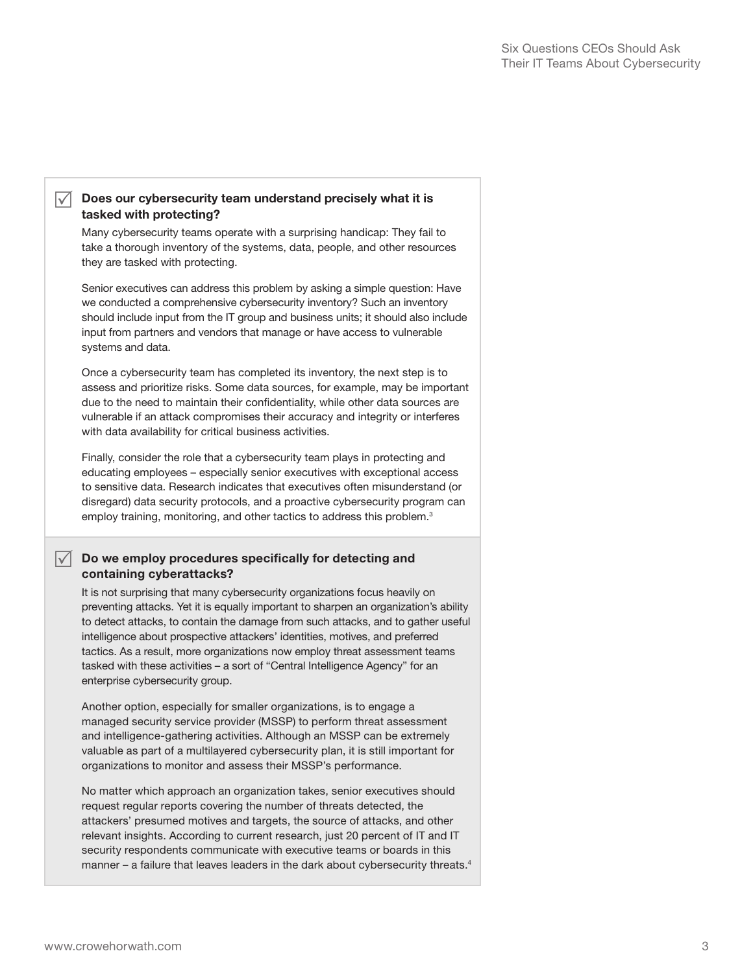#### $\sqrt{\phantom{a}}$  Does our cybersecurity team understand precisely what it is tasked with protecting?

Many cybersecurity teams operate with a surprising handicap: They fail to take a thorough inventory of the systems, data, people, and other resources they are tasked with protecting.

Senior executives can address this problem by asking a simple question: Have we conducted a comprehensive cybersecurity inventory? Such an inventory should include input from the IT group and business units; it should also include input from partners and vendors that manage or have access to vulnerable systems and data.

Once a cybersecurity team has completed its inventory, the next step is to assess and prioritize risks. Some data sources, for example, may be important due to the need to maintain their confidentiality, while other data sources are vulnerable if an attack compromises their accuracy and integrity or interferes with data availability for critical business activities.

Finally, consider the role that a cybersecurity team plays in protecting and educating employees – especially senior executives with exceptional access to sensitive data. Research indicates that executives often misunderstand (or disregard) data security protocols, and a proactive cybersecurity program can employ training, monitoring, and other tactics to address this problem.<sup>3</sup>

#### $\sqrt{\phantom{a}}$  Do we employ procedures specifically for detecting and containing cyberattacks?

It is not surprising that many cybersecurity organizations focus heavily on preventing attacks. Yet it is equally important to sharpen an organization's ability to detect attacks, to contain the damage from such attacks, and to gather useful intelligence about prospective attackers' identities, motives, and preferred tactics. As a result, more organizations now employ threat assessment teams tasked with these activities – a sort of "Central Intelligence Agency" for an enterprise cybersecurity group.

Another option, especially for smaller organizations, is to engage a managed security service provider (MSSP) to perform threat assessment and intelligence-gathering activities. Although an MSSP can be extremely valuable as part of a multilayered cybersecurity plan, it is still important for organizations to monitor and assess their MSSP's performance.

No matter which approach an organization takes, senior executives should request regular reports covering the number of threats detected, the attackers' presumed motives and targets, the source of attacks, and other relevant insights. According to current research, just 20 percent of IT and IT security respondents communicate with executive teams or boards in this manner – a failure that leaves leaders in the dark about cybersecurity threats.<sup>4</sup>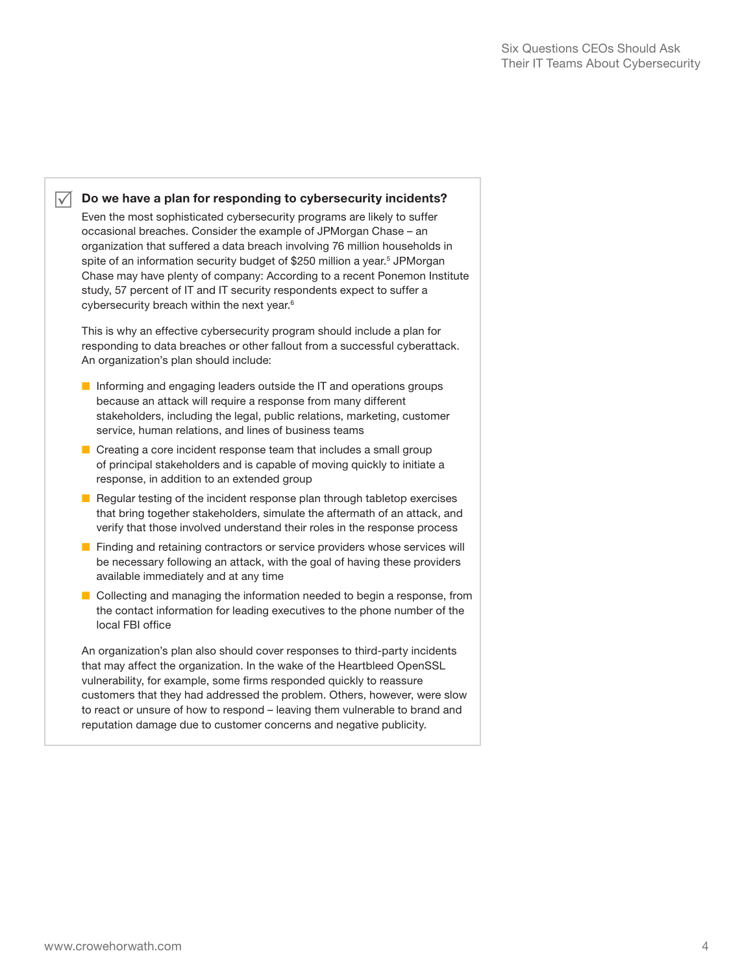#### $\sqrt{\phantom{a}}$  Do we have a plan for responding to cybersecurity incidents?

Even the most sophisticated cybersecurity programs are likely to suffer occasional breaches. Consider the example of JPMorgan Chase – an organization that suffered a data breach involving 76 million households in spite of an information security budget of \$250 million a year.<sup>5</sup> JPMorgan Chase may have plenty of company: According to a recent Ponemon Institute study, 57 percent of IT and IT security respondents expect to suffer a cybersecurity breach within the next year.6

This is why an effective cybersecurity program should include a plan for responding to data breaches or other fallout from a successful cyberattack. An organization's plan should include:

- Informing and engaging leaders outside the IT and operations groups because an attack will require a response from many different stakeholders, including the legal, public relations, marketing, customer service, human relations, and lines of business teams
- Creating a core incident response team that includes a small group of principal stakeholders and is capable of moving quickly to initiate a response, in addition to an extended group
- Regular testing of the incident response plan through tabletop exercises that bring together stakeholders, simulate the aftermath of an attack, and verify that those involved understand their roles in the response process
- Finding and retaining contractors or service providers whose services will be necessary following an attack, with the goal of having these providers available immediately and at any time
- Collecting and managing the information needed to begin a response, from the contact information for leading executives to the phone number of the local FBI office

An organization's plan also should cover responses to third-party incidents that may affect the organization. In the wake of the Heartbleed OpenSSL vulnerability, for example, some firms responded quickly to reassure customers that they had addressed the problem. Others, however, were slow to react or unsure of how to respond – leaving them vulnerable to brand and reputation damage due to customer concerns and negative publicity.